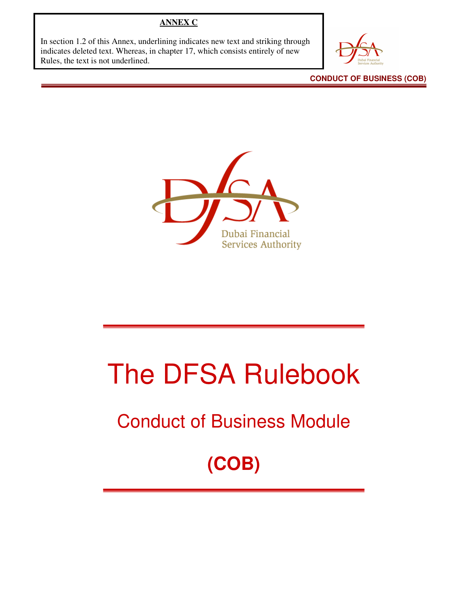#### **ANNEX C**

In section 1.2 of this Annex, underlining indicates new text and striking through indicates deleted text. Whereas, in chapter 17, which consists entirely of new Rules, the text is not underlined.

**CONDUCT OF BUSINESS (COB)** 



# The DFSA Rulebook

# Conduct of Business Module

**(COB)**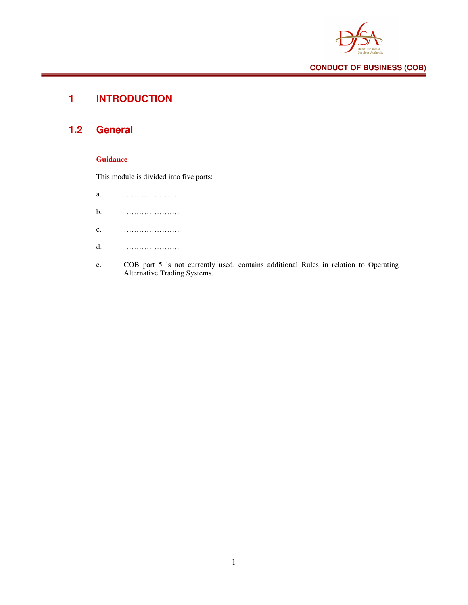

# **1 INTRODUCTION**

## **1.2 General**

#### **Guidance**

This module is divided into five parts:

| a.                         |                                |
|----------------------------|--------------------------------|
| b.                         |                                |
| $\mathbf{c}$ .             |                                |
| $d$ .                      |                                |
| <b>Allen Communication</b> | $COD$ next $\zeta$ is not even |

e. COB part 5 is not currently used. contains additional Rules in relation to Operating Alternative Trading Systems.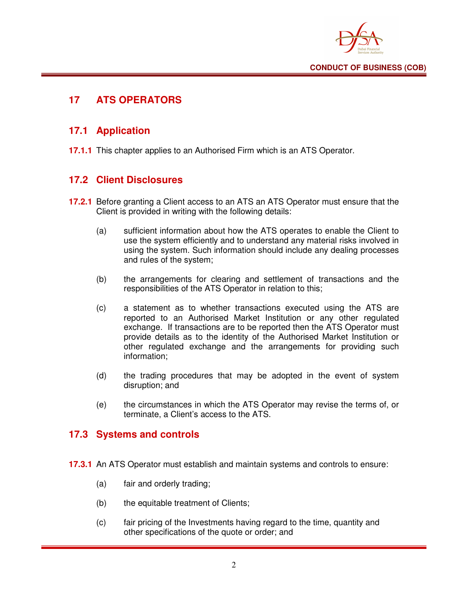

## **17 ATS OPERATORS**

#### **17.1 Application**

**17.1.1** This chapter applies to an Authorised Firm which is an ATS Operator.

#### **17.2 Client Disclosures**

- **17.2.1** Before granting a Client access to an ATS an ATS Operator must ensure that the Client is provided in writing with the following details:
	- (a) sufficient information about how the ATS operates to enable the Client to use the system efficiently and to understand any material risks involved in using the system. Such information should include any dealing processes and rules of the system;
	- (b) the arrangements for clearing and settlement of transactions and the responsibilities of the ATS Operator in relation to this;
	- (c) a statement as to whether transactions executed using the ATS are reported to an Authorised Market Institution or any other regulated exchange. If transactions are to be reported then the ATS Operator must provide details as to the identity of the Authorised Market Institution or other regulated exchange and the arrangements for providing such information;
	- (d) the trading procedures that may be adopted in the event of system disruption; and
	- (e) the circumstances in which the ATS Operator may revise the terms of, or terminate, a Client's access to the ATS.

#### **17.3 Systems and controls**

- **17.3.1** An ATS Operator must establish and maintain systems and controls to ensure:
	- (a) fair and orderly trading;
	- (b) the equitable treatment of Clients;
	- (c) fair pricing of the Investments having regard to the time, quantity and other specifications of the quote or order; and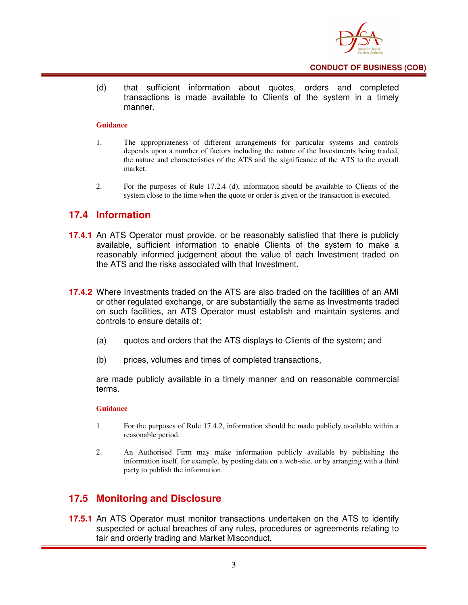

(d) that sufficient information about quotes, orders and completed transactions is made available to Clients of the system in a timely manner.

#### **Guidance**

- 1. The appropriateness of different arrangements for particular systems and controls depends upon a number of factors including the nature of the Investments being traded, the nature and characteristics of the ATS and the significance of the ATS to the overall market.
- 2. For the purposes of Rule 17.2.4 (d), information should be available to Clients of the system close to the time when the quote or order is given or the transaction is executed.

#### **17.4 Information**

- **17.4.1** An ATS Operator must provide, or be reasonably satisfied that there is publicly available, sufficient information to enable Clients of the system to make a reasonably informed judgement about the value of each Investment traded on the ATS and the risks associated with that Investment.
- **17.4.2** Where Investments traded on the ATS are also traded on the facilities of an AMI or other regulated exchange, or are substantially the same as Investments traded on such facilities, an ATS Operator must establish and maintain systems and controls to ensure details of:
	- (a) quotes and orders that the ATS displays to Clients of the system; and
	- (b) prices, volumes and times of completed transactions,

are made publicly available in a timely manner and on reasonable commercial terms.

#### **Guidance**

- 1. For the purposes of Rule 17.4.2, information should be made publicly available within a reasonable period.
- 2. An Authorised Firm may make information publicly available by publishing the information itself, for example, by posting data on a web-site, or by arranging with a third party to publish the information.

#### **17.5 Monitoring and Disclosure**

**17.5.1** An ATS Operator must monitor transactions undertaken on the ATS to identify suspected or actual breaches of any rules, procedures or agreements relating to fair and orderly trading and Market Misconduct.